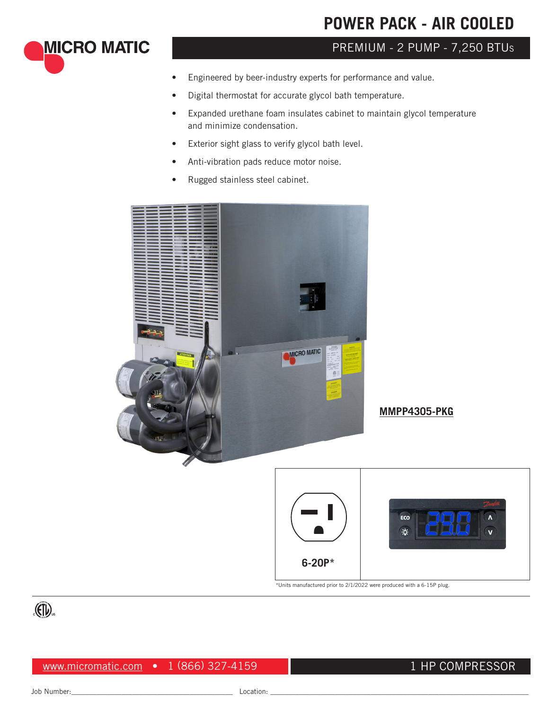# **POWER PACK - AIR COOLED**

# PREMIUM - 2 PUMP - 7,250 BTU<sup>s</sup>

- Engineered by beer-industry experts for performance and value.
- Digital thermostat for accurate glycol bath temperature.
- Expanded urethane foam insulates cabinet to maintain glycol temperature and minimize condensation.
- Exterior sight glass to verify glycol bath level.
- Anti-vibration pads reduce motor noise.
- Rugged stainless steel cabinet.



**MMPP4305-PKG**



\*Units manufactured prior to 2/1/2022 were produced with a 6-15P plug.



**MICRO MATIC** 

www.micromatic.com • 1 (866) 327-4159

## 1 HP COMPRESSOR